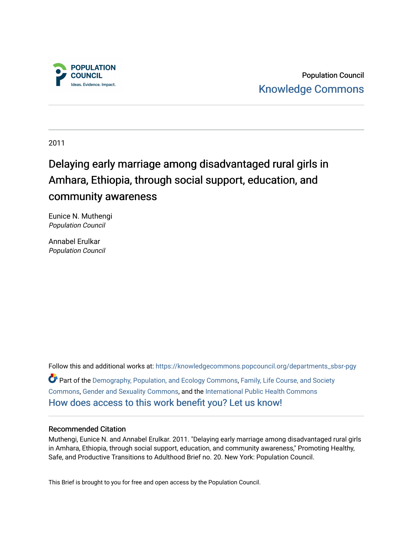

Population Council [Knowledge Commons](https://knowledgecommons.popcouncil.org/) 

2011

# Delaying early marriage among disadvantaged rural girls in Amhara, Ethiopia, through social support, education, and community awareness

Eunice N. Muthengi Population Council

Annabel Erulkar Population Council

Follow this and additional works at: [https://knowledgecommons.popcouncil.org/departments\\_sbsr-pgy](https://knowledgecommons.popcouncil.org/departments_sbsr-pgy?utm_source=knowledgecommons.popcouncil.org%2Fdepartments_sbsr-pgy%2F818&utm_medium=PDF&utm_campaign=PDFCoverPages)  Part of the [Demography, Population, and Ecology Commons,](https://network.bepress.com/hgg/discipline/418?utm_source=knowledgecommons.popcouncil.org%2Fdepartments_sbsr-pgy%2F818&utm_medium=PDF&utm_campaign=PDFCoverPages) [Family, Life Course, and Society](https://network.bepress.com/hgg/discipline/419?utm_source=knowledgecommons.popcouncil.org%2Fdepartments_sbsr-pgy%2F818&utm_medium=PDF&utm_campaign=PDFCoverPages)  [Commons](https://network.bepress.com/hgg/discipline/419?utm_source=knowledgecommons.popcouncil.org%2Fdepartments_sbsr-pgy%2F818&utm_medium=PDF&utm_campaign=PDFCoverPages), [Gender and Sexuality Commons,](https://network.bepress.com/hgg/discipline/420?utm_source=knowledgecommons.popcouncil.org%2Fdepartments_sbsr-pgy%2F818&utm_medium=PDF&utm_campaign=PDFCoverPages) and the [International Public Health Commons](https://network.bepress.com/hgg/discipline/746?utm_source=knowledgecommons.popcouncil.org%2Fdepartments_sbsr-pgy%2F818&utm_medium=PDF&utm_campaign=PDFCoverPages)  [How does access to this work benefit you? Let us know!](https://pcouncil.wufoo.com/forms/open-access-to-population-council-research/)

# Recommended Citation

Muthengi, Eunice N. and Annabel Erulkar. 2011. "Delaying early marriage among disadvantaged rural girls in Amhara, Ethiopia, through social support, education, and community awareness," Promoting Healthy, Safe, and Productive Transitions to Adulthood Brief no. 20. New York: Population Council.

This Brief is brought to you for free and open access by the Population Council.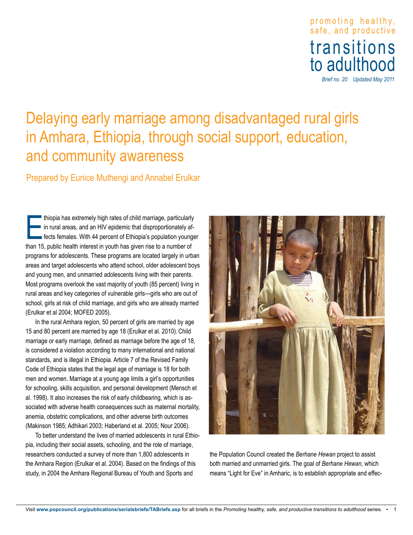promoting healthy , safe, and productive transitions to adulthood

*Brief no. 20 Updated May 2011*

# Delaying early marriage among disadvantaged rural girls in Amhara, Ethiopia, through social support, education, and community awareness

Prepared by Eunice Muthengi and Annabel Erulkar

thiopia has extremely high rates of child marriage, particularly<br>in rural areas, and an HIV epidemic that disproportionately af<br>fects females. With 44 percent of Ethiopia's population young<br>than 15, public health interest thiopia has extremely high rates of child marriage, particularly **in rural areas, and an HIV epidemic that disproportionately af**fects females. With 44 percent of Ethiopia's population younger programs for adolescents. These programs are located largely in urban areas and target adolescents who attend school, older adolescent boys and young men, and unmarried adolescents living with their parents. Most programs overlook the vast majority of youth (85 percent) living in rural areas and key categories of vulnerable girls—girls who are out of school, girls at risk of child marriage, and girls who are already married (Erulkar et al 2004; MOFED 2005).

In the rural Amhara region, 50 percent of girls are married by age 15 and 80 percent are married by age 18 (Erulkar et al. 2010).Child marriage or early marriage, defined as marriage before the age of 18, is considered a violation according to many international and national standards, and is illegal in Ethiopia. Article 7 of the Revised Family Code of Ethiopia states that the legal age of marriage is 18 for both men and women. Marriage at a young age limits a girl's opportunities for schooling, skills acquisition, and personal development (Mensch et al. 1998). It also increases the risk of early childbearing, which is associated with adverse health consequences such as maternal mortality, anemia, obstetric complications, and other adverse birth outcomes (Makinson 1985; Adhikari 2003; Haberland et al. 2005; Nour 2006).

To better understand the lives of married adolescents in rural Ethiopia, including their social assets, schooling, and the role of marriage, researchers conducted a survey of more than 1,800 adolescents in the Amhara Region (Erulkar et al. 2004). Based on the findings of this study, in 2004 the Amhara Regional Bureau of Youth and Sports and



the Population Council created the *Berhane Hewan* project to assist both married and unmarried girls. The goal of *Berhane Hewan*, which means "Light for Eve" in Amharic, is to establish appropriate and effec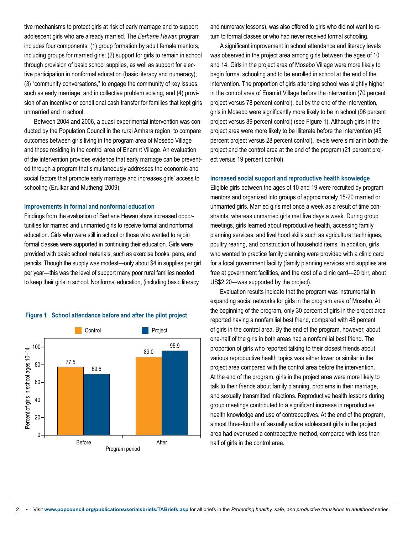tive mechanisms to protect girls at risk of early marriage and to support adolescent girls who are already married. The *Berhane Hewan* program includes four components: (1) group formation by adult female mentors, including groups for married girls; (2) support for girls to remain in school through provision of basic school supplies, as well as support for elective participation in nonformal education (basic literacy and numeracy); (3) "community conversations," to engage the community of key issues, such as early marriage, and in collective problem solving; and (4) provision of an incentive or conditional cash transfer for families that kept girls unmarried and in school.

Between 2004 and 2006, a quasi-experimental intervention was conducted by the Population Council in the rural Amhara region, to compare outcomes between girls living in the program area of Mosebo Village and those residing in the control area of Enamirt Village. An evaluation of the intervention provides evidence that early marriage can be prevented through a program that simultaneously addresses the economic and social factors that promote early marriage and increases girls' access to schooling (Erulkar and Muthengi 2009).

#### **Improvements in formal and nonformal education**

Findings from the evaluation of Berhane Hewan show increased opportunities for married and unmarried girls to receive formal and nonformal education. Girls who were still in school or those who wanted to rejoin formal classes were supported in continuing their education. Girls were provided with basic school materials, such as exercise books, pens, and pencils. Though the supply was modest—only about \$4 in supplies per girl per year—this was the level of support many poor rural families needed to keep their girls in school. Nonformal education, (including basic literacy



#### **Figure 1 School attendance before and after the pilot project**

and numeracy lessons), was also offered to girls who did not want to return to formal classes or who had never received formal schooling.

A significant improvement in school attendance and literacy levels was observed in the project area among girls between the ages of 10 and 14. Girls in the project area of Mosebo Village were more likely to begin formal schooling and to be enrolled in school at the end of the intervention. The proportion of girls attending school was slightly higher in the control area of Enamirt Village before the intervention (70 percent project versus 78 percent control), but by the end of the intervention, girls in Mosebo were significantly more likely to be in school (96 percent project versus 89 percent control) (see Figure 1). Although girls in the project area were more likely to be illiterate before the intervention (45 percent project versus 28 percent control), levels were similar in both the project and the control area at the end of the program (21 percent project versus 19 percent control).

# **Increased social support and reproductive health knowledge**

Eligible girls between the ages of 10 and 19 were recruited by program mentors and organized into groups of approximately 15-20 married or unmarried girls. Married girls met once a week as a result of time constraints, whereas unmarried girls met five days a week. During group meetings, girls learned about reproductive health, accessing family planning services, and livelihood skills such as agricultural techniques, poultry rearing, and construction of household items. In addition, girls who wanted to practice family planning were provided with a clinic card for a local government facility (family planning services and supplies are free at government facilities, and the cost of a clinic card—20 birr, about US\$2.20—was supported by the project).

Evaluation results indicate that the program was instrumental in expanding social networks for girls in the program area of Mosebo. At the beginning of the program, only 30 percent of girls in the project area reported having a nonfamilial best friend, compared with 48 percent of girls in the control area. By the end of the program, however, about one-half of the girls in both areas had a nonfamilial best friend. The proportion of girls who reported talking to their closest friends about various reproductive health topics was either lower or similar in the project area compared with the control area before the intervention. At the end of the program, girls in the project area were more likely to talk to their friends about family planning, problems in their marriage, and sexually transmitted infections. Reproductive health lessons during group meetings contributed to a significant increase in reproductive health knowledge and use of contraceptives. At the end of the program, almost three-fourths of sexually active adolescent girls in the project area had ever used a contraceptive method, compared with less than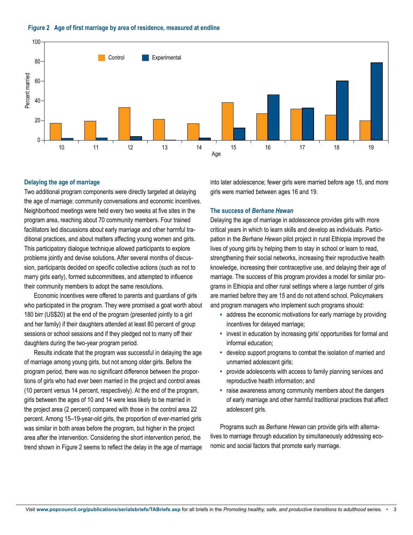



## **Delaying the age of marriage**

Two additional program components were directly targeted at delaying the age of marriage: community conversations and economic incentives. Neighborhood meetings were held every two weeks at five sites in the program area, reaching about 70 community members. Four trained facilitators led discussions about early marriage and other harmful traditional practices, and about matters affecting young women and girls. This participatory dialogue technique allowed participants to explore problems jointly and devise solutions. After several months of discussion, participants decided on specific collective actions (such as not to marry girls early), formed subcommittees, and attempted to influence their community members to adopt the same resolutions.

Economic incentives were offered to parents and guardians of girls who participated in the program. They were promised a goat worth about 180 birr (US\$20) at the end of the program (presented jointly to a girl and her family) if their daughters attended at least 80 percent of group sessions or school sessions and if they pledged not to marry off their daughters during the two-year program period.

Results indicate that the program was successful in delaying the age of marriage among young girls, but not among older girls. Before the program period, there was no significant difference between the proportions of girls who had ever been married in the project and control areas (10 percent versus 14 percent, respectively). At the end of the program, girls between the ages of 10 and 14 were less likely to be married in the project area (2 percent) compared with those in the control area 22 percent. Among 15–19-year-old girls, the proportion of ever-married girls was similar in both areas before the program, but higher in the project area after the intervention. Considering the short intervention period, the trend shown in Figure 2 seems to reflect the delay in the age of marriage

into later adolescence; fewer girls were married before age 15, and more girls were married between ages 16 and 19.

#### **The success of** *Berhane Hewan*

Delaying the age of marriage in adolescence provides girls with more critical years in which to learn skills and develop as individuals. Participation in the *Berhane Hewan* pilot project in rural Ethiopia improved the lives of young girls by helping them to stay in school or learn to read, strengthening their social networks, increasing their reproductive health knowledge, increasing their contraceptive use, and delaying their age of marriage. The success of this program provides a model for similar programs in Ethiopia and other rural settings where a large number of girls are married before they are 15 and do not attend school. Policymakers and program managers who implement such programs should:

- address the economic motivations for early marriage by providing incentives for delayed marriage;
- invest in education by increasing girls' opportunities for formal and informal education;
- develop support programs to combat the isolation of married and unmarried adolescent girls;
- provide adolescents with access to family planning services and reproductive health information; and
- raise awareness among community members about the dangers of early marriage and other harmful traditional practices that affect adolescent girls.

Programs such as *Berhane Hewan* can provide girls with alternatives to marriage through education by simultaneously addressing economic and social factors that promote early marriage.